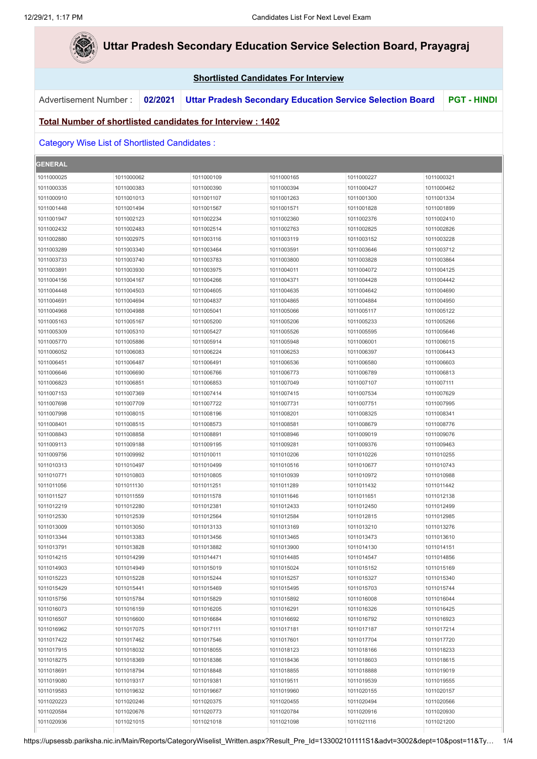**College** 

| <b>Uttar Pradesh Secondary Education Service Selection Board, Prayagraj</b> |            |         |                                                                          |            |                                                                  |            |                    |  |
|-----------------------------------------------------------------------------|------------|---------|--------------------------------------------------------------------------|------------|------------------------------------------------------------------|------------|--------------------|--|
| <b>Shortlisted Candidates For Interview</b>                                 |            |         |                                                                          |            |                                                                  |            |                    |  |
| Advertisement Number:                                                       |            | 02/2021 |                                                                          |            | <b>Uttar Pradesh Secondary Education Service Selection Board</b> |            | <b>PGT - HINDI</b> |  |
|                                                                             |            |         | <u><b>Total Number of shortlisted candidates for Interview: 1402</b></u> |            |                                                                  |            |                    |  |
| <b>Category Wise List of Shortlisted Candidates:</b>                        |            |         |                                                                          |            |                                                                  |            |                    |  |
| <b>GENERAL</b>                                                              |            |         |                                                                          |            |                                                                  |            |                    |  |
| 1011000025                                                                  | 1011000062 |         | 1011000109                                                               | 1011000165 | 1011000227                                                       | 1011000321 |                    |  |
| 1011000335                                                                  | 1011000383 |         | 1011000390                                                               | 1011000394 | 1011000427                                                       | 1011000462 |                    |  |
| 1011000910                                                                  | 1011001013 |         | 1011001107                                                               | 1011001263 | 1011001300                                                       | 1011001334 |                    |  |
| 1011001448                                                                  | 1011001494 |         | 1011001567                                                               | 1011001571 | 1011001828                                                       | 1011001899 |                    |  |
| 1011001947                                                                  | 1011002123 |         | 1011002234                                                               | 1011002360 | 1011002376                                                       | 1011002410 |                    |  |
| 1011002432                                                                  | 1011002483 |         | 1011002514                                                               | 1011002763 | 1011002825                                                       | 1011002826 |                    |  |
| 1011002880                                                                  | 1011002975 |         | 1011003116                                                               | 1011003119 | 1011003152                                                       | 1011003228 |                    |  |
| 1011003289                                                                  | 1011003340 |         | 1011003464                                                               | 1011003591 | 1011003646                                                       | 1011003712 |                    |  |
| 1011003733                                                                  | 1011003740 |         | 1011003783                                                               | 1011003800 | 1011003828                                                       | 1011003864 |                    |  |
| 1011003891                                                                  | 1011003930 |         | 1011003975                                                               | 1011004011 | 1011004072                                                       | 1011004125 |                    |  |
| 1011004156                                                                  | 1011004167 |         | 1011004266                                                               | 1011004371 | 1011004428                                                       | 1011004442 |                    |  |
| 1011004448                                                                  | 1011004503 |         | 1011004605                                                               | 1011004635 | 1011004642                                                       | 1011004690 |                    |  |
| 1011004691                                                                  | 1011004694 |         | 1011004837                                                               | 1011004865 | 1011004884                                                       | 1011004950 |                    |  |
| 1011004968                                                                  | 1011004988 |         | 1011005041                                                               | 1011005066 | 1011005117                                                       | 1011005122 |                    |  |
| 1011005163                                                                  | 1011005167 |         | 1011005200                                                               | 1011005206 | 1011005233                                                       | 1011005266 |                    |  |
| 1011005309                                                                  | 1011005310 |         | 1011005427                                                               | 1011005526 | 1011005595                                                       | 1011005646 |                    |  |
| 1011005770                                                                  | 1011005886 |         | 1011005914                                                               | 1011005948 | 1011006001                                                       | 1011006015 |                    |  |
| 1011006052                                                                  | 1011006083 |         | 1011006224                                                               | 1011006253 | 1011006397                                                       | 1011006443 |                    |  |
| 1011006451                                                                  | 1011006487 |         | 1011006491                                                               | 1011006536 | 1011006580                                                       | 1011006603 |                    |  |
| 1011006646                                                                  | 1011006690 |         | 1011006766                                                               | 1011006773 | 1011006789                                                       | 1011006813 |                    |  |
| 1011006823                                                                  | 1011006851 |         | 1011006853                                                               | 1011007049 | 1011007107                                                       | 1011007111 |                    |  |
| 1011007153                                                                  | 1011007369 |         | 1011007414                                                               | 1011007415 | 1011007534                                                       | 1011007629 |                    |  |
| 1011007698                                                                  | 1011007709 |         | 1011007722                                                               | 1011007731 | 1011007751                                                       | 1011007995 |                    |  |
| 1011007998                                                                  | 1011008015 |         | 1011008196                                                               | 1011008201 | 1011008325                                                       | 1011008341 |                    |  |
| 1011008401                                                                  | 1011008515 |         | 1011008573                                                               | 1011008581 | 1011008679                                                       | 1011008776 |                    |  |
| 1011008843                                                                  | 1011008858 |         | 1011008891                                                               | 1011008946 | 1011009019                                                       | 1011009076 |                    |  |
| 1011009113                                                                  | 1011009188 |         | 1011009195                                                               | 1011009281 | 1011009376                                                       | 1011009463 |                    |  |
| 1011009756                                                                  | 1011009992 |         | 1011010011                                                               | 1011010206 | 1011010226                                                       | 1011010255 |                    |  |
| 1011010313                                                                  | 1011010497 |         | 1011010499                                                               | 1011010516 | 1011010677                                                       | 1011010743 |                    |  |
| 1011010771                                                                  | 1011010803 |         | 1011010805                                                               | 1011010939 | 1011010972                                                       | 1011010988 |                    |  |
| 1011011056                                                                  | 1011011130 |         | 1011011251                                                               | 1011011289 | 1011011432                                                       | 1011011442 |                    |  |
| 1011011527                                                                  | 1011011559 |         | 1011011578                                                               | 1011011646 | 1011011651                                                       | 1011012138 |                    |  |
| 1011012219                                                                  | 1011012280 |         | 1011012381                                                               | 1011012433 | 1011012450                                                       | 1011012499 |                    |  |
| 1011012530                                                                  | 1011012539 |         | 1011012564                                                               | 1011012584 | 1011012815                                                       | 1011012985 |                    |  |
| 1011013009                                                                  | 1011013050 |         | 1011013133                                                               | 1011013169 | 1011013210                                                       | 1011013276 |                    |  |
| 1011013344                                                                  | 1011013383 |         | 1011013456                                                               | 1011013465 | 1011013473                                                       | 1011013610 |                    |  |
| 1011013791                                                                  | 1011013828 |         | 1011013882                                                               | 1011013900 | 1011014130                                                       | 1011014151 |                    |  |
| 1011014215                                                                  | 1011014299 |         | 1011014471                                                               | 1011014485 | 1011014547                                                       | 1011014856 |                    |  |
| 1011014903                                                                  | 1011014949 |         | 1011015019                                                               | 1011015024 | 1011015152                                                       | 1011015169 |                    |  |
| 1011015223                                                                  | 1011015228 |         | 1011015244                                                               | 1011015257 | 1011015327                                                       | 1011015340 |                    |  |
| 1011015429                                                                  | 1011015441 |         | 1011015469                                                               | 1011015495 | 1011015703                                                       | 1011015744 |                    |  |
| 1011015756                                                                  | 1011015784 |         | 1011015829                                                               | 1011015892 | 1011016008                                                       | 1011016044 |                    |  |
| 1011016073                                                                  | 1011016159 |         | 1011016205                                                               | 1011016291 | 1011016326                                                       | 1011016425 |                    |  |
| 1011016507                                                                  | 1011016600 |         | 1011016684                                                               | 1011016692 | 1011016792                                                       | 1011016923 |                    |  |
| 1011016962                                                                  | 1011017075 |         | 1011017111                                                               | 1011017181 | 1011017187                                                       | 1011017214 |                    |  |
| 1011017422                                                                  | 1011017462 |         | 1011017546                                                               | 1011017601 | 1011017704                                                       | 1011017720 |                    |  |
| 1011017915                                                                  | 1011018032 |         | 1011018055                                                               | 1011018123 | 1011018166                                                       | 1011018233 |                    |  |
| 1011018275                                                                  | 1011018369 |         | 1011018386                                                               | 1011018436 | 1011018603                                                       | 1011018615 |                    |  |
| 1011018691                                                                  | 1011018794 |         | 1011018848                                                               | 1011018855 | 1011018888                                                       | 1011019019 |                    |  |
| 1011019080                                                                  | 1011019317 |         | 1011019381                                                               | 1011019511 | 1011019539                                                       | 1011019555 |                    |  |
| 1011019583                                                                  | 1011019632 |         | 1011019667                                                               | 1011019960 | 1011020155                                                       | 1011020157 |                    |  |
| 1011020223                                                                  | 1011020246 |         | 1011020375                                                               | 1011020455 | 1011020494                                                       | 1011020566 |                    |  |
| 1011020584                                                                  | 1011020676 |         | 1011020773                                                               | 1011020784 | 1011020916                                                       | 1011020930 |                    |  |
|                                                                             | 1011021015 |         | 1011021018                                                               | 1011021098 | 1011021116                                                       | 1011021200 |                    |  |
| 1011020936                                                                  |            |         |                                                                          |            |                                                                  |            |                    |  |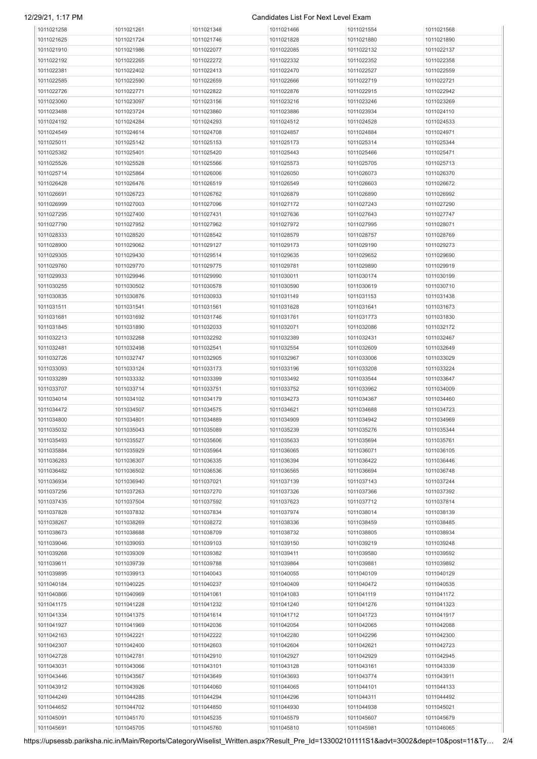# 12/29/21, 1:17 PM Candidates List For Next Level Exam

| 1011021258               | 1011021261               | 1011021348               | 1011021466               | 1011021554               | 1011021568               |
|--------------------------|--------------------------|--------------------------|--------------------------|--------------------------|--------------------------|
| 1011021625               | 1011021724               | 1011021746               | 1011021828               | 1011021880               | 1011021890               |
| 1011021910               | 1011021986               | 1011022077               | 1011022085               | 1011022132               | 1011022137               |
| 1011022192               | 1011022265               | 1011022272               | 1011022332               | 1011022352               | 1011022358               |
| 1011022381               | 1011022402               | 1011022413               | 1011022470               | 1011022527               | 1011022559               |
| 1011022585               | 1011022590               | 1011022659               | 1011022666               | 1011022719               | 1011022721               |
| 1011022726               | 1011022771               | 1011022822               | 1011022876               | 1011022915               | 1011022942               |
| 1011023060               | 1011023097               | 1011023156               | 1011023216               | 1011023246               | 1011023269               |
| 1011023488               | 1011023724               | 1011023860               | 1011023886               | 1011023934               | 1011024110               |
| 1011024192               | 1011024284               | 1011024293               | 1011024512               | 1011024528               | 1011024533               |
| 1011024549               | 1011024614               | 1011024708               | 1011024857               | 1011024884               | 1011024971               |
| 1011025011               | 1011025142               | 1011025153               | 1011025173               | 1011025314               | 1011025344               |
| 1011025382               | 1011025401               | 1011025420               | 1011025443               | 1011025466               | 1011025471               |
| 1011025526               | 1011025528               | 1011025566               | 1011025573               | 1011025705               | 1011025713               |
| 1011025714               | 1011025864               | 1011026006               | 1011026050               | 1011026073               | 1011026370               |
| 1011026428               | 1011026476               | 1011026519               | 1011026549               | 1011026603               | 1011026672               |
| 1011026691               | 1011026723               | 1011026762               | 1011026879               | 1011026890               | 1011026992               |
| 1011026999               | 1011027003               | 1011027096               | 1011027172               | 1011027243               | 1011027290               |
|                          |                          |                          |                          |                          |                          |
| 1011027295               | 1011027400               | 1011027431               | 1011027636               | 1011027643               | 1011027747               |
| 1011027790               | 1011027952               | 1011027962               | 1011027972               | 1011027995               | 1011028071               |
| 1011028333               | 1011028520               | 1011028542               | 1011028579               | 1011028757               | 1011028769               |
| 1011028900               | 1011029062               | 1011029127               | 1011029173               | 1011029190               | 1011029273               |
| 1011029305               | 1011029430               | 1011029514               | 1011029635               | 1011029652               | 1011029690               |
| 1011029760               | 1011029770               | 1011029775               | 1011029781               | 1011029890               | 1011029919               |
| 1011029933               | 1011029946               | 1011029990               | 1011030011               | 1011030174               | 1011030199               |
| 1011030255               | 1011030502               | 1011030578               | 1011030590               | 1011030619               | 1011030710               |
| 1011030835               | 1011030876               | 1011030933               | 1011031149               | 1011031153               | 1011031438               |
| 1011031511               | 1011031541               | 1011031561               | 1011031628               | 1011031641               | 1011031673               |
| 1011031681               | 1011031692               | 1011031746               | 1011031761               | 1011031773               | 1011031830               |
| 1011031845               | 1011031890               | 1011032033               | 1011032071               | 1011032086               | 1011032172               |
| 1011032213               | 1011032268               | 1011032292               | 1011032389               | 1011032431               | 1011032467               |
| 1011032481               | 1011032498               | 1011032541               | 1011032554               | 1011032609               | 1011032649               |
| 1011032726               | 1011032747               | 1011032905               | 1011032967               | 1011033006               | 1011033029               |
| 1011033093               | 1011033124               | 1011033173               | 1011033196               | 1011033208               | 1011033224               |
| 1011033289               | 1011033332               | 1011033399               | 1011033492               | 1011033544               | 1011033647               |
| 1011033707               | 1011033714               | 1011033751               | 1011033752               | 1011033962               | 1011034009               |
| 1011034014               | 1011034102               | 1011034179               | 1011034273               | 1011034367               | 1011034460               |
| 1011034472               | 1011034507               | 1011034575               | 1011034621               | 1011034688               | 1011034723               |
| 1011034800               | 1011034801               | 1011034889               | 1011034909               | 1011034942               | 1011034969               |
| 1011035032               | 1011035043               | 1011035089               | 1011035239               | 1011035276               | 1011035344               |
| 1011035493               | 1011035527               | 1011035606               | 1011035633               | 1011035694               | 1011035761               |
| 1011035884               | 1011035929               | 1011035964               | 1011036065               | 1011036071               | 1011036105               |
| 1011036283               | 1011036307               | 1011036335               | 1011036394               | 1011036422               | 1011036446               |
| 1011036482               | 1011036502               | 1011036536               | 1011036565               | 1011036694               | 1011036748               |
| 1011036934               | 1011036940               | 1011037021               | 1011037139               | 1011037143               | 1011037244               |
| 1011037256               | 1011037263               | 1011037270               | 1011037326               | 1011037366               | 1011037392               |
| 1011037435               | 1011037504               | 1011037592               | 1011037623               | 1011037712               | 1011037814               |
| 1011037828               | 1011037832               | 1011037834               | 1011037974               | 1011038014               | 1011038139               |
| 1011038267               | 1011038269               | 1011038272               | 1011038336               | 1011038459               | 1011038485               |
| 1011038673               | 1011038688               | 1011038709               | 1011038732               | 1011038805               | 1011038934               |
| 1011039046               | 1011039093               | 1011039103               | 1011039150               | 1011039219               | 1011039248               |
| 1011039268               | 1011039309               | 1011039382               | 1011039411               | 1011039580               | 1011039592               |
| 1011039611               | 1011039739               | 1011039788               | 1011039864               | 1011039881               | 1011039892               |
| 1011039895               | 1011039913               | 1011040043               | 1011040055               | 1011040109               | 1011040129               |
| 1011040184               | 1011040225               | 1011040237               | 1011040409               | 1011040472               | 1011040535               |
| 1011040866               | 1011040969               | 1011041061               | 1011041083               | 1011041119               | 1011041172               |
|                          |                          |                          |                          |                          |                          |
| 1011041175<br>1011041334 | 1011041228<br>1011041375 | 1011041232<br>1011041614 | 1011041240<br>1011041712 | 1011041276<br>1011041723 | 1011041323<br>1011041917 |
|                          |                          |                          |                          |                          |                          |
| 1011041927               | 1011041969               | 1011042036               | 1011042054               | 1011042065               | 1011042088               |
| 1011042163               | 1011042221               | 1011042222               | 1011042280               | 1011042296               | 1011042300               |
| 1011042307               | 1011042400               | 1011042603               | 1011042604               | 1011042621               | 1011042723               |
| 1011042728               | 1011042781               | 1011042910               | 1011042927               | 1011042929               | 1011042945               |
| 1011043031               | 1011043066               | 1011043101               | 1011043128               | 1011043161               | 1011043339               |
| 1011043446               | 1011043567               | 1011043649               | 1011043693               | 1011043774               | 1011043911               |
| 1011043912               | 1011043926               | 1011044060               | 1011044065               | 1011044101               | 1011044133               |
| 1011044249               | 1011044285               | 1011044294               | 1011044296               | 1011044311               | 1011044492               |
| 1011044652               | 1011044702               | 1011044850               | 1011044930               | 1011044938               | 1011045021               |
| 1011045091               | 1011045170               | 1011045235               | 1011045579               | 1011045607               | 1011045679               |
| 1011045691               | 1011045705               | 1011045760               | 1011045810               | 1011045981               | 1011046065               |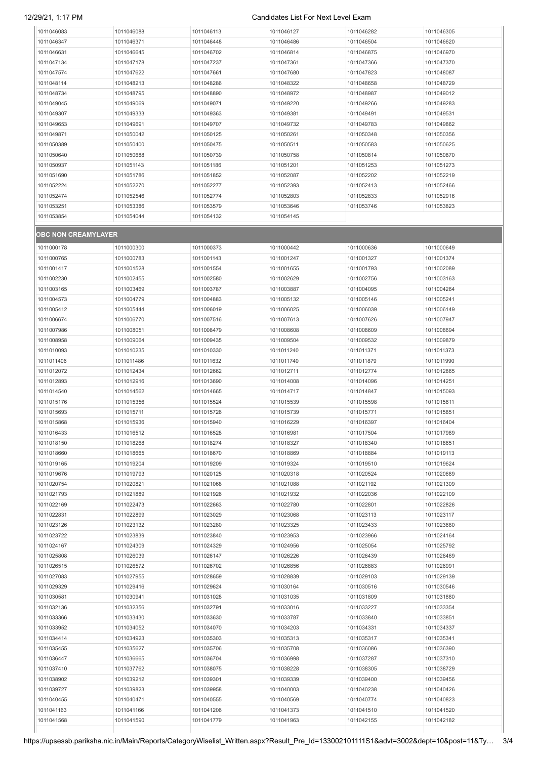## 12/29/21, 1:17 PM Candidates List For Next Level Exam

| 1011046083          | 1011046088 | 1011046113 | 1011046127 | 1011046282 | 1011046305 |
|---------------------|------------|------------|------------|------------|------------|
| 1011046347          | 1011046371 | 1011046448 | 1011046486 | 1011046504 | 1011046620 |
| 1011046631          | 1011046645 | 1011046702 | 1011046814 | 1011046875 | 1011046970 |
| 1011047134          | 1011047178 | 1011047237 | 1011047361 | 1011047366 | 1011047370 |
| 1011047574          | 1011047622 | 1011047661 | 1011047680 | 1011047823 | 1011048087 |
| 1011048114          | 1011048213 | 1011048286 | 1011048322 | 1011048658 | 1011048729 |
| 1011048734          | 1011048795 | 1011048890 | 1011048972 | 1011048987 | 1011049012 |
|                     |            |            |            |            |            |
| 1011049045          | 1011049069 | 1011049071 | 1011049220 | 1011049266 | 1011049283 |
| 1011049307          | 1011049333 | 1011049363 | 1011049381 | 1011049491 | 1011049531 |
| 1011049653          | 1011049691 | 1011049707 | 1011049732 | 1011049783 | 1011049862 |
| 1011049871          | 1011050042 | 1011050125 | 1011050261 | 1011050348 | 1011050356 |
| 1011050389          | 1011050400 | 1011050475 | 1011050511 | 1011050583 | 1011050625 |
| 1011050640          | 1011050688 | 1011050739 | 1011050758 | 1011050814 | 1011050870 |
| 1011050937          | 1011051143 | 1011051186 | 1011051201 | 1011051253 | 1011051273 |
|                     |            |            |            |            |            |
| 1011051690          | 1011051786 | 1011051852 | 1011052087 | 1011052202 | 1011052219 |
| 1011052224          | 1011052270 | 1011052277 | 1011052393 | 1011052413 | 1011052466 |
| 1011052474          | 1011052546 | 1011052774 | 1011052803 | 1011052833 | 1011052916 |
| 1011053251          | 1011053386 | 1011053579 | 1011053646 | 1011053746 | 1011053823 |
| 1011053854          | 1011054044 | 1011054132 | 1011054145 |            |            |
|                     |            |            |            |            |            |
| OBC NON CREAMYLAYER |            |            |            |            |            |
| 1011000178          | 1011000300 | 1011000373 | 1011000442 | 1011000636 | 1011000649 |
|                     |            |            |            |            |            |
| 1011000765          | 1011000783 | 1011001143 | 1011001247 | 1011001327 | 1011001374 |
| 1011001417          | 1011001528 | 1011001554 | 1011001655 | 1011001793 | 1011002089 |
| 1011002230          | 1011002455 | 1011002580 | 1011002629 | 1011002756 | 1011003163 |
| 1011003165          | 1011003469 | 1011003787 | 1011003887 | 1011004095 | 1011004264 |
| 1011004573          | 1011004779 | 1011004883 | 1011005132 | 1011005146 | 1011005241 |
| 1011005412          | 1011005444 | 1011006019 | 1011006025 | 1011006039 | 1011006149 |
| 1011006674          | 1011006770 | 1011007516 | 1011007613 | 1011007626 | 1011007947 |
| 1011007986          |            |            |            |            | 1011008694 |
|                     | 1011008051 | 1011008479 | 1011008608 | 1011008609 |            |
| 1011008958          | 1011009064 | 1011009435 | 1011009504 | 1011009532 | 1011009879 |
| 1011010093          | 1011010235 | 1011010330 | 1011011240 | 1011011371 | 1011011373 |
| 1011011406          | 1011011486 | 1011011632 | 1011011740 | 1011011879 | 1011011990 |
| 1011012072          | 1011012434 | 1011012662 | 1011012711 | 1011012774 | 1011012865 |
| 1011012893          | 1011012916 | 1011013690 | 1011014008 | 1011014096 | 1011014251 |
| 1011014540          | 1011014562 | 1011014665 | 1011014717 | 1011014847 | 1011015093 |
| 1011015176          | 1011015356 | 1011015524 | 1011015539 | 1011015598 | 1011015611 |
|                     |            |            |            |            |            |
| 1011015693          | 1011015711 | 1011015726 | 1011015739 | 1011015771 | 1011015851 |
| 1011015868          | 1011015936 | 1011015940 | 1011016229 | 1011016397 | 1011016404 |
| 1011016433          | 1011016512 | 1011016528 | 1011016981 | 1011017504 | 1011017989 |
| 1011018150          | 1011018268 | 1011018274 | 1011018327 | 1011018340 | 1011018651 |
| 1011018660          | 1011018665 | 1011018670 | 1011018869 | 1011018884 | 1011019113 |
| 1011019165          | 1011019204 | 1011019209 | 1011019324 | 1011019510 | 1011019624 |
| 1011019676          | 1011019793 | 1011020125 | 1011020318 | 1011020524 | 1011020689 |
|                     |            |            |            |            |            |
| 1011020754          | 1011020821 | 1011021068 | 1011021088 | 1011021192 | 1011021309 |
| 1011021793          | 1011021889 | 1011021926 | 1011021932 | 1011022036 | 1011022109 |
| 1011022169          | 1011022473 | 1011022663 | 1011022780 | 1011022801 | 1011022826 |
| 1011022831          | 1011022899 | 1011023029 | 1011023068 | 1011023113 | 1011023117 |
| 1011023126          | 1011023132 | 1011023280 | 1011023325 | 1011023433 | 1011023680 |
| 1011023722          | 1011023839 | 1011023840 | 1011023953 | 1011023966 | 1011024164 |
| 1011024167          | 1011024309 | 1011024329 | 1011024956 | 1011025054 | 1011025792 |
|                     |            |            |            |            |            |
| 1011025808          | 1011026039 | 1011026147 | 1011026226 | 1011026439 | 1011026469 |
| 1011026515          | 1011026572 | 1011026702 | 1011026856 | 1011026883 | 1011026991 |
| 1011027083          | 1011027955 | 1011028659 | 1011028839 | 1011029103 | 1011029139 |
| 1011029329          | 1011029416 | 1011029624 | 1011030164 | 1011030516 | 1011030546 |
| 1011030581          | 1011030941 | 1011031028 | 1011031035 | 1011031809 | 1011031880 |
| 1011032136          | 1011032356 | 1011032791 | 1011033016 | 1011033227 | 1011033354 |
| 1011033366          | 1011033430 | 1011033630 | 1011033787 | 1011033840 | 1011033851 |
| 1011033952          | 1011034052 | 1011034070 | 1011034203 | 1011034331 | 1011034337 |
|                     |            |            |            |            |            |
| 1011034414          | 1011034923 | 1011035303 | 1011035313 | 1011035317 | 1011035341 |
| 1011035455          | 1011035627 | 1011035706 | 1011035708 | 1011036086 | 1011036390 |
| 1011036447          | 1011036665 | 1011036704 | 1011036998 | 1011037287 | 1011037310 |
| 1011037410          | 1011037762 | 1011038075 | 1011038228 | 1011038305 | 1011038729 |
| 1011038902          | 1011039212 | 1011039301 | 1011039339 | 1011039400 | 1011039456 |
| 1011039727          | 1011039823 | 1011039958 | 1011040003 | 1011040238 | 1011040426 |
|                     |            |            |            |            |            |
| 1011040455          | 1011040471 | 1011040555 | 1011040569 | 1011040774 | 1011040823 |
| 1011041163          | 1011041166 | 1011041206 | 1011041373 | 1011041510 | 1011041520 |
| 1011041568          | 1011041590 | 1011041779 | 1011041963 | 1011042155 | 1011042182 |
|                     |            |            |            |            |            |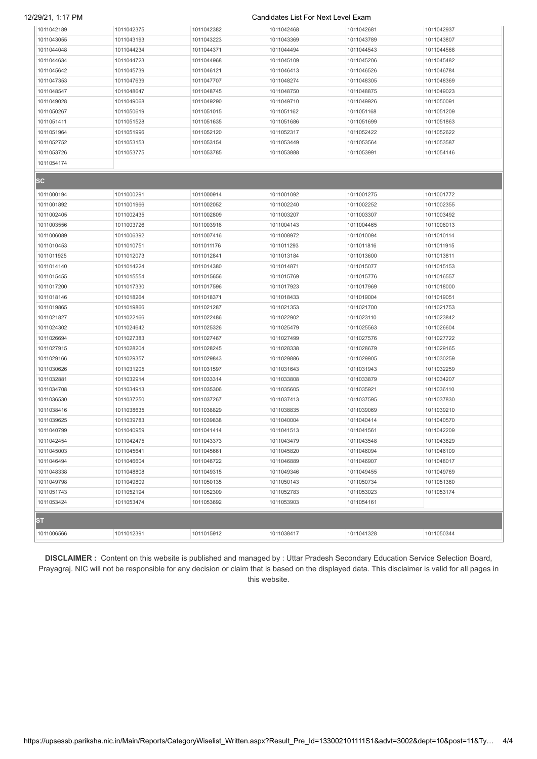### 12/29/21, 1:17 PM Candidates List For Next Level Exam

| 1011042189               | 1011042375               | 1011042382               | 1011042468               | 1011042681               | 1011042937               |
|--------------------------|--------------------------|--------------------------|--------------------------|--------------------------|--------------------------|
| 1011043055               | 1011043193               | 1011043223               | 1011043369               | 1011043789               | 1011043807               |
| 1011044048               | 1011044234               | 1011044371               | 1011044494               | 1011044543               | 1011044568               |
| 1011044634               | 1011044723               | 1011044968               | 1011045109               | 1011045206               | 1011045482               |
| 1011045642               | 1011045739               | 1011046121               | 1011046413               | 1011046526               | 1011046784               |
| 1011047353               | 1011047639               | 1011047707               | 1011048274               | 1011048305               | 1011048369               |
| 1011048547               | 1011048647               | 1011048745               | 1011048750               | 1011048875               | 1011049023               |
| 1011049028               | 1011049068               | 1011049290               | 1011049710               | 1011049926               | 1011050091               |
| 1011050267               | 1011050619               | 1011051015               | 1011051162               | 1011051168               | 1011051209               |
| 1011051411               | 1011051528               | 1011051635               | 1011051686               | 1011051699               | 1011051863               |
|                          |                          |                          |                          |                          |                          |
| 1011051964               | 1011051996               | 1011052120<br>1011053154 | 1011052317               | 1011052422               | 1011052622               |
| 1011052752<br>1011053726 | 1011053153<br>1011053775 | 1011053785               | 1011053449<br>1011053888 | 1011053564<br>1011053991 | 1011053587<br>1011054146 |
|                          |                          |                          |                          |                          |                          |
| 1011054174               |                          |                          |                          |                          |                          |
| ISC⊹                     |                          |                          |                          |                          |                          |
| 1011000194               | 1011000291               | 1011000914               | 1011001092               | 1011001275               | 1011001772               |
| 1011001892               | 1011001966               | 1011002052               | 1011002240               | 1011002252               | 1011002355               |
| 1011002405               | 1011002435               | 1011002809               | 1011003207               | 1011003307               | 1011003492               |
| 1011003556               | 1011003726               | 1011003916               | 1011004143               | 1011004465               | 1011006013               |
| 1011006089               | 1011006392               | 1011007416               | 1011008972               | 1011010094               | 1011010114               |
| 1011010453               | 1011010751               | 1011011176               | 1011011293               | 1011011816               | 1011011915               |
| 1011011925               | 1011012073               | 1011012841               | 1011013184               | 1011013600               | 1011013811               |
| 1011014140               | 1011014224               | 1011014380               | 1011014871               | 1011015077               | 1011015153               |
| 1011015455               | 1011015554               | 1011015656               | 1011015769               | 1011015776               | 1011016557               |
| 1011017200               | 1011017330               | 1011017596               | 1011017923               | 1011017969               | 1011018000               |
| 1011018146               | 1011018264               | 1011018371               | 1011018433               | 1011019004               | 1011019051               |
| 1011019865               | 1011019866               | 1011021287               | 1011021353               | 1011021700               | 1011021753               |
| 1011021827               | 1011022166               | 1011022486               | 1011022902               | 1011023110               | 1011023842               |
| 1011024302               | 1011024642               | 1011025326               | 1011025479               | 1011025563               | 1011026604               |
| 1011026694               | 1011027383               | 1011027467               | 1011027499               | 1011027576               | 1011027722               |
| 1011027915               | 1011028204               | 1011028245               | 1011028338               | 1011028679               | 1011029165               |
| 1011029166               | 1011029357               | 1011029843               | 1011029886               | 1011029905               | 1011030259               |
| 1011030626               | 1011031205               | 1011031597               | 1011031643               | 1011031943               | 1011032259               |
| 1011032881               | 1011032914               | 1011033314               | 1011033808               | 1011033879               | 1011034207               |
| 1011034708               | 1011034913               | 1011035306               | 1011035605               | 1011035921               | 1011036110               |
| 1011036530               | 1011037250               | 1011037267               | 1011037413               | 1011037595               | 1011037830               |
| 1011038416               | 1011038635               | 1011038829               | 1011038835               | 1011039069               | 1011039210               |
| 1011039625               | 1011039783               | 1011039838               | 1011040004               | 1011040414               | 1011040570               |
| 1011040799               | 1011040959               | 1011041414               | 1011041513               | 1011041561               | 1011042209               |
| 1011042454               | 1011042475               | 1011043373               | 1011043479               | 1011043548               | 1011043829               |
| 1011045003               | 1011045641               | 1011045661               | 1011045820               | 1011046094               | 1011046109               |
| 1011046494               | 1011046604               | 1011046722               | 1011046889               | 1011046907               | 1011048017               |
| 1011048338               | 1011048808               | 1011049315               | 1011049346               | 1011049455               | 1011049769               |
| 1011049798               | 1011049809               | 1011050135               | 1011050143               | 1011050734               | 1011051360               |
| 1011051743               | 1011052194               | 1011052309               | 1011052783               | 1011053023               | 1011053174               |
| 1011053424               | 1011053474               | 1011053692               | 1011053903               | 1011054161               |                          |
|                          |                          |                          |                          |                          |                          |
| ST.                      |                          |                          |                          |                          |                          |
| 1011006566               | 1011012391               | 1011015912               | 1011038417               | 1011041328               | 1011050344               |

**DISCLAIMER :** Content on this website is published and managed by : Uttar Pradesh Secondary Education Service Selection Board, Prayagraj. NIC will not be responsible for any decision or claim that is based on the displayed data. This disclaimer is valid for all pages in this website.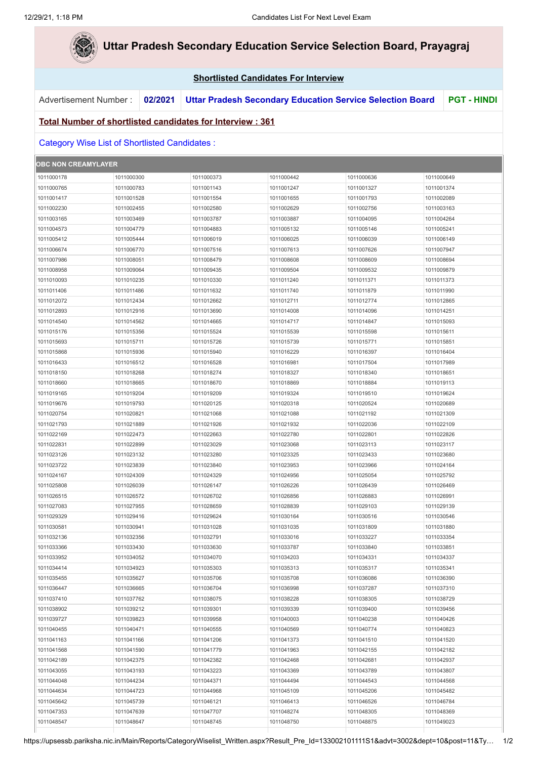P.

|                            |                                                            |            | <b>Shortlisted Candidates For Interview</b> |                                                                  |                          |                    |
|----------------------------|------------------------------------------------------------|------------|---------------------------------------------|------------------------------------------------------------------|--------------------------|--------------------|
| Advertisement Number:      | 02/2021                                                    |            |                                             | <b>Uttar Pradesh Secondary Education Service Selection Board</b> |                          | <b>PGT - HINDI</b> |
|                            | Total Number of shortlisted candidates for Interview : 361 |            |                                             |                                                                  |                          |                    |
|                            | <b>Category Wise List of Shortlisted Candidates:</b>       |            |                                             |                                                                  |                          |                    |
| <b>OBC NON CREAMYLAYER</b> |                                                            |            |                                             |                                                                  |                          |                    |
| 1011000178                 | 1011000300                                                 | 1011000373 | 1011000442                                  | 1011000636                                                       | 1011000649               |                    |
| 1011000765                 | 1011000783                                                 | 1011001143 | 1011001247                                  | 1011001327                                                       | 1011001374               |                    |
| 1011001417                 | 1011001528                                                 | 1011001554 | 1011001655                                  | 1011001793                                                       | 1011002089               |                    |
| 1011002230                 | 1011002455                                                 | 1011002580 | 1011002629                                  | 1011002756                                                       | 1011003163               |                    |
| 1011003165                 | 1011003469                                                 | 1011003787 | 1011003887                                  | 1011004095                                                       | 1011004264               |                    |
| 1011004573                 | 1011004779                                                 | 1011004883 | 1011005132                                  | 1011005146                                                       | 1011005241               |                    |
| 1011005412                 | 1011005444                                                 | 1011006019 | 1011006025                                  | 1011006039                                                       | 1011006149               |                    |
| 1011006674                 | 1011006770                                                 | 1011007516 | 1011007613                                  | 1011007626                                                       | 1011007947               |                    |
| 1011007986                 | 1011008051                                                 | 1011008479 | 1011008608                                  | 1011008609                                                       | 1011008694               |                    |
| 1011008958                 | 1011009064                                                 | 1011009435 | 1011009504                                  | 1011009532                                                       | 1011009879               |                    |
| 1011010093                 | 1011010235                                                 | 1011010330 | 1011011240                                  | 1011011371                                                       | 1011011373               |                    |
| 1011011406                 | 1011011486                                                 | 1011011632 | 1011011740                                  | 1011011879                                                       | 1011011990               |                    |
| 1011012072                 | 1011012434                                                 | 1011012662 | 1011012711                                  | 1011012774                                                       | 1011012865               |                    |
| 1011012893                 | 1011012916                                                 | 1011013690 | 1011014008                                  | 1011014096                                                       | 1011014251               |                    |
| 1011014540                 | 1011014562                                                 | 1011014665 | 1011014717                                  | 1011014847                                                       | 1011015093               |                    |
| 1011015176                 | 1011015356                                                 | 1011015524 | 1011015539                                  | 1011015598                                                       | 1011015611               |                    |
| 1011015693                 | 1011015711                                                 | 1011015726 | 1011015739                                  | 1011015771                                                       | 1011015851               |                    |
| 1011015868                 | 1011015936                                                 | 1011015940 | 1011016229                                  | 1011016397                                                       | 1011016404               |                    |
| 1011016433                 | 1011016512                                                 | 1011016528 | 1011016981                                  | 1011017504                                                       | 1011017989               |                    |
| 1011018150                 | 1011018268                                                 | 1011018274 | 1011018327                                  | 1011018340                                                       | 1011018651               |                    |
| 1011018660                 | 1011018665                                                 | 1011018670 | 1011018869                                  | 1011018884                                                       | 1011019113               |                    |
| 1011019165                 | 1011019204                                                 | 1011019209 | 1011019324                                  | 1011019510                                                       | 1011019624               |                    |
| 1011019676                 | 1011019793                                                 | 1011020125 | 1011020318                                  | 1011020524                                                       | 1011020689               |                    |
| 1011020754                 | 1011020821                                                 | 1011021068 | 1011021088                                  | 1011021192                                                       | 1011021309               |                    |
| 1011021793                 | 1011021889                                                 | 1011021926 | 1011021932                                  | 1011022036                                                       | 1011022109               |                    |
| 1011022169                 | 1011022473                                                 | 1011022663 | 1011022780                                  | 1011022801                                                       | 1011022826               |                    |
| 1011022831                 | 1011022899                                                 | 1011023029 | 1011023068                                  | 1011023113                                                       | 1011023117               |                    |
| 1011023126                 | 1011023132                                                 | 1011023280 | 1011023325                                  | 1011023433                                                       | 1011023680               |                    |
| 1011023722                 | 1011023839                                                 | 1011023840 | 1011023953                                  | 1011023966                                                       | 1011024164               |                    |
| 1011024167                 | 1011024309                                                 | 1011024329 | 1011024956                                  | 1011025054                                                       | 1011025792               |                    |
| 1011025808                 | 1011026039                                                 | 1011026147 | 1011026226                                  | 1011026439                                                       |                          |                    |
| 1011026515                 | 1011026572                                                 | 1011026702 | 1011026856                                  | 1011026883                                                       | 1011026469<br>1011026991 |                    |
|                            |                                                            |            | 1011028839                                  |                                                                  |                          |                    |
| 1011027083                 | 1011027955                                                 | 1011028659 |                                             | 1011029103                                                       | 1011029139               |                    |
| 1011029329                 | 1011029416                                                 | 1011029624 | 1011030164                                  | 1011030516<br>1011031809                                         | 1011030546               |                    |
| 1011030581                 | 1011030941                                                 | 1011031028 | 1011031035                                  |                                                                  | 1011031880               |                    |
| 1011032136                 | 1011032356                                                 | 1011032791 | 1011033016                                  | 1011033227                                                       | 1011033354               |                    |
| 1011033366                 | 1011033430                                                 | 1011033630 | 1011033787                                  | 1011033840                                                       | 1011033851               |                    |
| 1011033952                 | 1011034052                                                 | 1011034070 | 1011034203                                  | 1011034331                                                       | 1011034337               |                    |
| 1011034414                 | 1011034923                                                 | 1011035303 | 1011035313                                  | 1011035317                                                       | 1011035341               |                    |
| 1011035455                 | 1011035627                                                 | 1011035706 | 1011035708                                  | 1011036086                                                       | 1011036390               |                    |
| 1011036447                 | 1011036665                                                 | 1011036704 | 1011036998                                  | 1011037287                                                       | 1011037310               |                    |
| 1011037410                 | 1011037762                                                 | 1011038075 | 1011038228                                  | 1011038305                                                       | 1011038729               |                    |
| 1011038902                 | 1011039212                                                 | 1011039301 | 1011039339                                  | 1011039400                                                       | 1011039456               |                    |
| 1011039727                 | 1011039823                                                 | 1011039958 | 1011040003                                  | 1011040238                                                       | 1011040426               |                    |
| 1011040455                 | 1011040471                                                 | 1011040555 | 1011040569                                  | 1011040774                                                       | 1011040823               |                    |
| 1011041163                 | 1011041166                                                 | 1011041206 | 1011041373                                  | 1011041510                                                       | 1011041520               |                    |
| 1011041568                 | 1011041590                                                 | 1011041779 | 1011041963                                  | 1011042155                                                       | 1011042182               |                    |
| 1011042189                 | 1011042375                                                 | 1011042382 | 1011042468                                  | 1011042681                                                       | 1011042937               |                    |
| 1011043055                 | 1011043193                                                 | 1011043223 | 1011043369                                  | 1011043789                                                       | 1011043807               |                    |
| 1011044048                 | 1011044234                                                 | 1011044371 | 1011044494                                  | 1011044543                                                       | 1011044568               |                    |
| 1011044634                 | 1011044723                                                 | 1011044968 | 1011045109                                  | 1011045206                                                       | 1011045482               |                    |
| 1011045642                 | 1011045739                                                 | 1011046121 | 1011046413                                  | 1011046526                                                       | 1011046784               |                    |
| 1011047353                 | 1011047639                                                 | 1011047707 | 1011048274                                  | 1011048305                                                       | 1011048369               |                    |
| 1011048547                 | 1011048647                                                 | 1011048745 | 1011048750                                  | 1011048875                                                       | 1011049023               |                    |
|                            |                                                            |            |                                             |                                                                  |                          |                    |